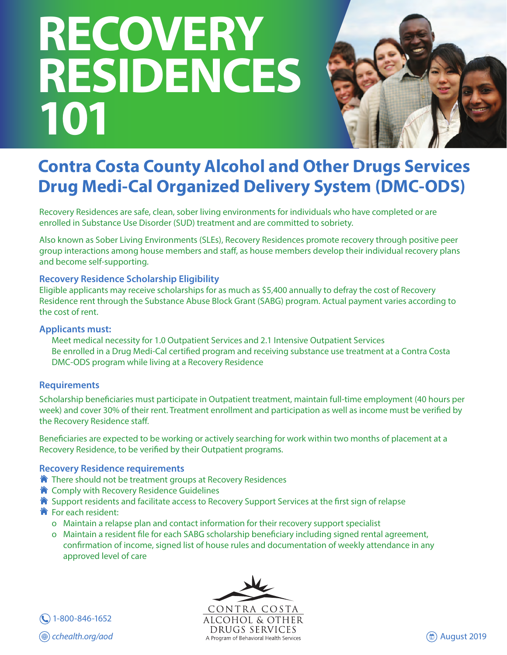# **RECOVERY RESIDENCES 101**



# **Contra Costa County Alcohol and Other Drugs Services Drug Medi-Cal Organized Delivery System (DMC-ODS)**

Recovery Residences are safe, clean, sober living environments for individuals who have completed or are enrolled in Substance Use Disorder (SUD) treatment and are committed to sobriety.

Also known as Sober Living Environments (SLEs), Recovery Residences promote recovery through positive peer group interactions among house members and staff, as house members develop their individual recovery plans and become self-supporting.

# **Recovery Residence Scholarship Eligibility**

Eligible applicants may receive scholarships for as much as \$5,400 annually to defray the cost of Recovery Residence rent through the Substance Abuse Block Grant (SABG) program. Actual payment varies according to the cost of rent.

### **Applicants must:**

 Meet medical necessity for 1.0 Outpatient Services and 2.1 Intensive Outpatient Services Be enrolled in a Drug Medi-Cal certified program and receiving substance use treatment at a Contra Costa DMC-ODS program while living at a Recovery Residence

# **Requirements**

Scholarship beneficiaries must participate in Outpatient treatment, maintain full-time employment (40 hours per week) and cover 30% of their rent. Treatment enrollment and participation as well as income must be verified by the Recovery Residence staff.

Beneficiaries are expected to be working or actively searching for work within two months of placement at a Recovery Residence, to be verified by their Outpatient programs.

# **Recovery Residence requirements**

- $\hat{\bullet}$  There should not be treatment groups at Recovery Residences
- **★** Comply with Recovery Residence Guidelines
- $\hat{\mathbf{a}}$  Support residents and facilitate access to Recovery Support Services at the first sign of relapse
- **The For each resident:** 
	- o Maintain a relapse plan and contact information for their recovery support specialist
	- o Maintain a resident file for each SABG scholarship beneficiary including signed rental agreement, confirmation of income, signed list of house rules and documentation of weekly attendance in any approved level of care